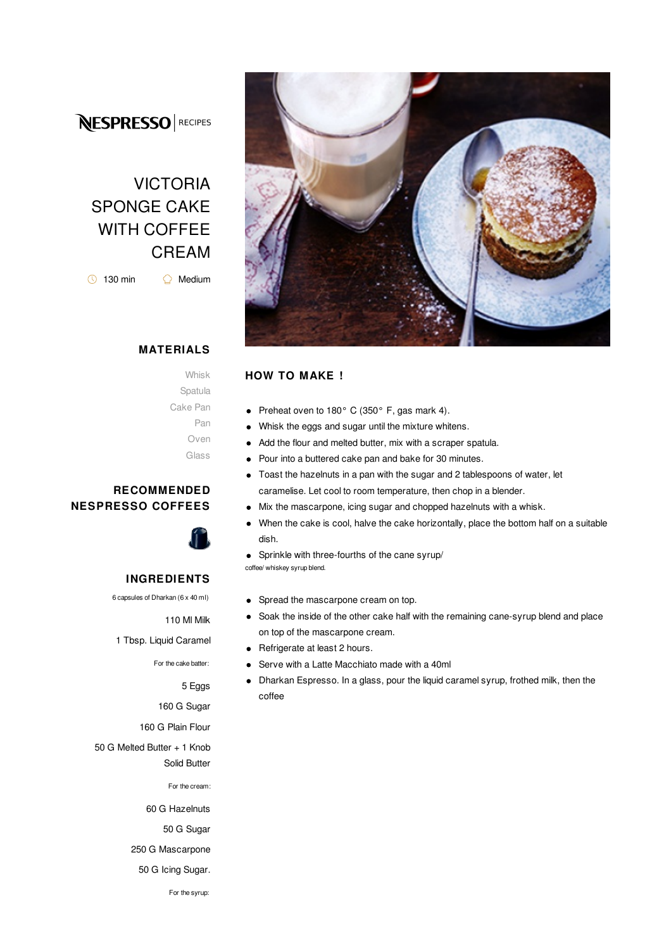## **NESPRESSO** RECIPES

# VICTORIA SPONGE CAKE WITH COFFEE CREAM

 $\bigcirc$  130 min  $\bigcirc$  Medium

#### **MATERIALS**

Whisk Spatula Cake Pan Pan Oven Glass

#### **RECOMMENDED NESPRESSO COFFEES**



#### **INGREDIENTS**

6 capsules of Dharkan (6 x 40 ml)

110 Ml Milk

1 Tbsp. Liquid Caramel

For the cake batter:

5 Eggs

160 G Sugar

160 G Plain Flour

50 G Melted Butter + 1 Knob Solid Butter

For the cream:

60 G Hazelnuts

50 G Sugar

250 G Mascarpone





#### **HOW TO MAKE !**

- Preheat oven to 180° C (350° F, gas mark 4).  $\bullet$
- Whisk the eggs and sugar until the mixture whitens.  $\bullet$
- Add the flour and melted butter, mix with a scraper spatula.  $\bullet$
- Pour into a buttered cake pan and bake for 30 minutes.  $\bullet$
- Toast the hazelnuts in a pan with the sugar and 2 tablespoons of water, let  $\bullet$ caramelise. Let cool to room temperature, then chop in a blender.
	- Mix the mascarpone, icing sugar and chopped hazelnuts with a whisk.
- $\bullet$ When the cake is cool, halve the cake horizontally, place the bottom half on a suitable dish.
- Sprinkle with three-fourths of the cane syrup/

coffee/ whiskey syrup blend.

 $\bullet$ 

- Spread the mascarpone cream on top.
- Soak the inside of the other cake half with the remaining cane-syrup blend and place  $\bullet$ on top of the mascarpone cream.
- Refrigerate at least 2 hours.  $\bullet$
- Serve with a Latte Macchiato made with a 40ml
- Dharkan Espresso. In a glass, pour the liquid caramel syrup, frothed milk, then the coffee